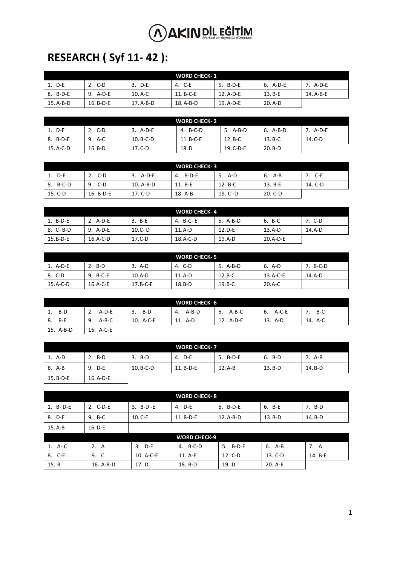### **RESEARCH ( Syf 11- 42 ):**

| <b>WORD CHECK-1</b> |             |           |             |           |          |           |
|---------------------|-------------|-----------|-------------|-----------|----------|-----------|
| 1. D-E              | - C-D       | 3. D-E    | 4. C-E      | 5. B-D-E  | 6. A-D-E | A-D-E     |
| 8. B-D-E            | A-D-E<br>9. | $10. A-C$ | $11. B-C-E$ | 12. A-D-E | 13. B-E  | 14. A-B-E |
| $15. A-B-D$         | $16. B-D-E$ | 17. A-B-D | 18. A-B-D   | 19. A-D-E | 20. A-D  |           |

| WORD CHECK-2 |           |             |             |           |           |         |
|--------------|-----------|-------------|-------------|-----------|-----------|---------|
| 1. D-E       | 2. C-D    | 3. A-D-E    | 4. B-C-D    | 5. A-B-D  | 6. A-B-D  | A-D-E   |
| 8. B-D-E     | A-C<br>9. | $10. B-C-D$ | $11. B-C-E$ | 12. B-C   | $13. B-C$ | 14. C-D |
| 15. A-C-D    | $16. B-D$ | $17.C-D$    | 18.D        | 19. C-D-E | $20. B-D$ |         |

| <b>WORD CHECK-3</b> |           |           |             |             |         |         |
|---------------------|-----------|-----------|-------------|-------------|---------|---------|
| 1. D-E              | C-D       | 3. A-D-E  | B-D-E<br>4. | 5. A-D      | 6. A-B  | - C-E   |
| 8. B-C-D            | C-D<br>9. | 10. A-B-D | 11. B-E     | 12. B-C     | 13. B-E | 14. C-D |
| 15. C-D             | 16. B-D-E | 17. C-D   | 18. A-B     | 19. $C - D$ | 20. C-D |         |

| <b>WORD CHECK-4</b> |            |            |          |          |            |        |
|---------------------|------------|------------|----------|----------|------------|--------|
| 1. B-D-E            | $2.$ A-D-E | 3. B-E     | 4. B-C-E | 5. A-B-D | 6. B-C     | . C-D  |
| 8. C-B-D            | 9. A-D-E   | $10.C - D$ | 11.A-D   | $12.D-E$ | 13.A-D     | 14.A-D |
| $15.B-D-E$          | $16.A-C-D$ | $17.C-D$   | 18.A-C-D | $19.A-D$ | $20.A-D-E$ |        |

| <b>WORD CHECK-5</b> |          |            |        |          |          |        |
|---------------------|----------|------------|--------|----------|----------|--------|
| 1. A-D-E            | $2. B-D$ | 3. A-D     | 4. C-D | 5. A-B-D | 6. A-D   | B-C-D  |
| 8. C-D              | 9. B-C-E | $10.A-D$   | 11.A-D | $12.B-C$ | 13.A-C-E | 14.A-D |
| $15.A-C-D$          | 16.A-C-E | $17.B-C-E$ | 18.B-D | $19.B-C$ | 20.A-C   |        |

| <b>WORD CHECK-6</b> |             |           |             |               |             |         |
|---------------------|-------------|-----------|-------------|---------------|-------------|---------|
| B-D<br>1.           | A-D-E       | B-D<br>3. | A-B-D<br>4. | $A-B-C$<br>5. | A-C-E<br>6. | B-C     |
| B-E<br>8.           | A-B-C<br>9. | 10. A-C-E | 11. A-D     | 12. A-D-E     | 13. A-D     | 14. A-C |
| 15. A-B-D           | 16. A-C-E   |           |             |               |             |         |

| <b>WORD CHECK-7</b> |           |             |             |          |           |         |
|---------------------|-----------|-------------|-------------|----------|-----------|---------|
| 1. A-D              | $2. B-D$  | 3. B-D      | 4. D-E      | 5. B-D-E | 6. B-D    | '. A-B  |
| 8. A-B              | 9. D-E    | $10. B-C-D$ | $11. B-D-E$ | 12. A-B  | $13. B-D$ | 14. B-D |
| $15. B-D-E$         | 16. A-D-E |             |             |          |           |         |

| <b>WORD CHECK-8</b> |           |           |                     |           |          |         |
|---------------------|-----------|-----------|---------------------|-----------|----------|---------|
| 1. B-D-E            | 2. C-D-E  | 3. B-D-E  | 4. D-E              | 5. B-D-E  | 6. B-E   | 7. B-D  |
| 8. D-E              | 9. B-C    | $10.C-E$  | 11. B-D-E           | 12. A-B-D | $13.B-D$ | 14. B-D |
| $15.A-B$            | $16. D-E$ |           |                     |           |          |         |
|                     |           |           | <b>WORD CHECK-9</b> |           |          |         |
| 1. A-C              | 2.<br>A   | 3. D-E    | 4. B-C-D            | 5. B-D-E  | 6. A-B   | 7. A    |
| 8. C-E              | 9. C      | 10. A-C-E | 11. A-E             | 12. C-D   | 13. C-D  | 14. B-E |
| 15. B               | 16. A-B-D | 17. D     | 18. B-D             | 19. D     | 20. A-E  |         |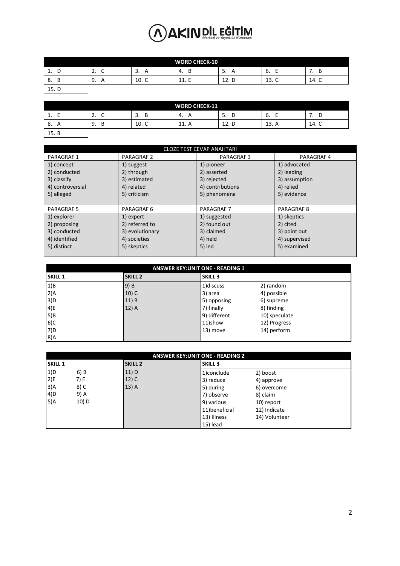| <b>WORD CHECK-10</b>    |                      |                     |                  |                    |       |         |
|-------------------------|----------------------|---------------------|------------------|--------------------|-------|---------|
| D<br>1<br>◡<br><b>.</b> | ∽<br><u>.</u><br>֊   | $\mathsf{A}$<br>. ب | B<br>-4.         | 5.<br>$\mathsf{H}$ | ь.    | B<br>,, |
| 8.<br>В                 | 9.<br>$\overline{A}$ | 10. C               | -<br>11<br>ᆂᆂ. 느 | 12. D              | 13. C | 14. C   |
| 15. D                   |                      |                     |                  |                    |       |         |

| <b>WORD CHECK-11</b> |                 |         |             |          |          |          |
|----------------------|-----------------|---------|-------------|----------|----------|----------|
| <b>.</b>             | <u>. .</u><br>╰ | B<br>э. | 4.<br>A     | 5.<br>ັ  | ь.       | . .<br>ັ |
| 8.                   | 9.<br>В         | 10. C   | 11<br>11. M | 12.<br>D | 13.<br>A | 14. C    |
| 15. B                |                 |         |             |          |          |          |

| <b>CLOZE TEST CEVAP ANAHTARI</b> |                   |                   |                   |  |  |  |
|----------------------------------|-------------------|-------------------|-------------------|--|--|--|
| <b>PARAGRAF1</b>                 | <b>PARAGRAF 2</b> | <b>PARAGRAF3</b>  | PARAGRAF 4        |  |  |  |
| 1) concept                       | 1) suggest        | 1) pioneer        | 1) advocated      |  |  |  |
| 2) conducted                     | 2) through        | 2) asserted       | 2) leading        |  |  |  |
| 3) classify                      | 3) estimated      | 3) rejected       | 3) assumption     |  |  |  |
| 4) controversial                 | 4) related        | 4) contributions  | 4) relied         |  |  |  |
| 5) alleged                       | 5) criticism      | 5) phenomena      | 5) evidence       |  |  |  |
|                                  |                   |                   |                   |  |  |  |
| <b>PARAGRAF 5</b>                | PARAGRAF 6        | <b>PARAGRAF 7</b> | <b>PARAGRAF 8</b> |  |  |  |
| 1) explorer                      | 1) expert         | 1) suggested      | 1) skeptics       |  |  |  |
| 2) proposing                     | 2) referred to    | 2) found out      | 2) cited          |  |  |  |
| 3) conducted                     | 3) evolutionary   | 3) claimed        | 3) point out      |  |  |  |
| 4) identified                    | 4) societies      | 4) held           | 4) supervised     |  |  |  |
| 5) distinct                      | 5) skeptics       | 5) led            | 5) examined       |  |  |  |
|                                  |                   |                   |                   |  |  |  |

|                | <b>ANSWER KEY: UNIT ONE - READING 1</b> |                |               |  |  |  |
|----------------|-----------------------------------------|----------------|---------------|--|--|--|
| <b>SKILL 1</b> | <b>SKILL 2</b>                          | <b>SKILL 3</b> |               |  |  |  |
| 1)B            | 9) B                                    | 1) discuss     | 2) random     |  |  |  |
| 2)A            | $10)$ C                                 | 3) area        | 4) possible   |  |  |  |
| 3)D            | 11) B                                   | 5) opposing    | 6) supreme    |  |  |  |
| 4)E            | 12) A                                   | 7) finally     | 8) finding    |  |  |  |
| 5)B            |                                         | 9) different   | 10) speculate |  |  |  |
| 6)C            |                                         | 11)show        | 12) Progress  |  |  |  |
| 7)D            |                                         | 13) move       | 14) perform   |  |  |  |
| 8)A            |                                         |                |               |  |  |  |

|                | <b>ANSWER KEY: UNIT ONE - READING 2</b> |                |                |               |  |  |  |
|----------------|-----------------------------------------|----------------|----------------|---------------|--|--|--|
| <b>SKILL 1</b> |                                         | <b>SKILL 2</b> | <b>SKILL 3</b> |               |  |  |  |
| 1)D            | 6) B                                    | 11)D           | 1) conclude    | 2) boost      |  |  |  |
| 2)E            | 7) E                                    | $12)$ C        | 3) reduce      | 4) approve    |  |  |  |
| 3)A            | 8) C                                    | $13)$ A        | 5) during      | 6) overcome   |  |  |  |
| 4)D            | 9) A                                    |                | 7) observe     | 8) claim      |  |  |  |
| 5)A            | 10) D                                   |                | 9) various     | 10) report    |  |  |  |
|                |                                         |                | 11) beneficial | 12) Indicate  |  |  |  |
|                |                                         |                | 13) Illness    | 14) Volunteer |  |  |  |
|                |                                         |                | $15)$ lead     |               |  |  |  |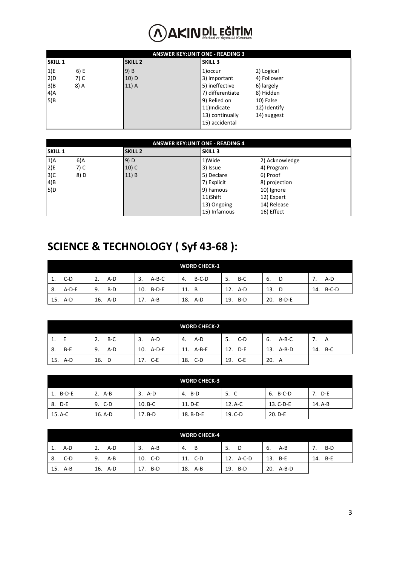|                | <b>ANSWER KEY: UNIT ONE - READING 3</b> |                |                  |              |  |  |  |  |
|----------------|-----------------------------------------|----------------|------------------|--------------|--|--|--|--|
| <b>SKILL 1</b> |                                         | <b>SKILL 2</b> | <b>SKILL 3</b>   |              |  |  |  |  |
| 1)E            | 6) E                                    | 9) B           | 1) occur         | 2) Logical   |  |  |  |  |
| 2)D            | 7) C                                    | $10)$ D        | 3) important     | 4) Follower  |  |  |  |  |
| 3)B            | 8) A                                    | $11)$ A        | 5) ineffective   | 6) largely   |  |  |  |  |
| 4)A            |                                         |                | 7) differentiate | 8) Hidden    |  |  |  |  |
| 5)B            |                                         |                | 9) Relied on     | 10) False    |  |  |  |  |
|                |                                         |                | 11)Indicate      | 12) Identify |  |  |  |  |
|                |                                         |                | 13) continually  | 14) suggest  |  |  |  |  |
|                |                                         |                | 15) accidental   |              |  |  |  |  |

|                | <b>ANSWER KEY: UNIT ONE - READING 4</b> |                |                |                |  |  |  |  |
|----------------|-----------------------------------------|----------------|----------------|----------------|--|--|--|--|
| <b>SKILL 1</b> |                                         | <b>SKILL 2</b> | <b>SKILL 3</b> |                |  |  |  |  |
| $1)$ A         | 6)A                                     | $9)$ D         | 1)Wide         | 2) Acknowledge |  |  |  |  |
| $ 2$ )E        | 7) C                                    | $10)$ C        | 3) Issue       | 4) Program     |  |  |  |  |
| 3)C            | 8) D                                    | 11) B          | 5) Declare     | 6) Proof       |  |  |  |  |
| 4)B            |                                         |                | 7) Explicit    | 8) projection  |  |  |  |  |
| 5)D            |                                         |                | 9) Famous      | 10) Ignore     |  |  |  |  |
|                |                                         |                | 11)Shift       | 12) Expert     |  |  |  |  |
|                |                                         |                | 13) Ongoing    | 14) Release    |  |  |  |  |
|                |                                         |                | 15) Infamous   | 16) Effect     |  |  |  |  |

#### **SCIENCE & TECHNOLOGY ( Syf 43-68 ):**

|     |         |             |               | <b>WORD CHECK-1</b> |            |              |           |
|-----|---------|-------------|---------------|---------------------|------------|--------------|-----------|
| 1.  | C-D     | $A-D$<br>2. | $A-B-C$<br>3. | B-C-D<br>4.         | B-C<br>5.  | 6.<br>D      | A-D       |
| -8. | $A-D-E$ | 9.<br>B-D   | 10. B-D-E     | 11. B               | 12.<br>A-D | 13.<br>- D   | 14. B-C-D |
|     | 15. A-D | 16. A-D     | A-B<br>17.    | 18. A-D             | 19. B-D    | B-D-E<br>20. |           |

|     |         |             |              | <b>WORD CHECK-2</b> |             |                |         |
|-----|---------|-------------|--------------|---------------------|-------------|----------------|---------|
| 1.  |         | $B-C$<br>2. | A-D<br>3.    | A-D<br>4.           | $C-D$<br>5. | $A-B-C$<br>-6. |         |
| -8. | B-E     | 9.<br>A-D   | 10. A-D-E    | 11. A-B-E           | D-E<br>12.  | 13.<br>$A-B-D$ | 14. B-C |
|     | 15. A-D | 16. D       | - C-E<br>17. | 18. C-D             | 19. C-E     | 20.<br>A       |         |

| <b>WORD CHECK-3</b> |           |           |             |         |             |         |
|---------------------|-----------|-----------|-------------|---------|-------------|---------|
| 1. B-D-E            | 2. A-B    | $3.$ A-D  | 4. B-D      | 5. C    | 6. B-C-D    | 7. D-E  |
| 8. D-E              | 9. C-D    | $10. B-C$ | $11. D - E$ | 12. A-C | $13. C-D-E$ | 14. A-B |
| 15. A-C             | $16. A-D$ | $17. B-D$ | 18. B-D-E   | 19. C-D | 20. D-E     |         |

|    |         |             |            | <b>WORD CHECK-4</b> |           |              |         |
|----|---------|-------------|------------|---------------------|-----------|--------------|---------|
| 1. | A-D     | $A-D$<br>2. | A-B<br>3.  | <b>B</b><br>4.      | 5.<br>D   | -6.<br>A-B   | $B-D$   |
| 8. | C-D     | 9.<br>A-B   | 10. C-D    | - C-D<br>11.        | 12. A-C-D | 13.<br>B-E   | 14. B-E |
|    | 15. A-B | 16. A-D     | B-D<br>17. | 18. A-B             | 19. B-D   | 20.<br>A-B-D |         |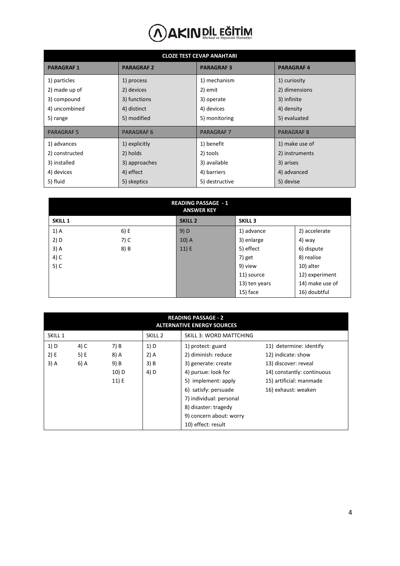| <b>CLOZE TEST CEVAP ANAHTARI</b> |                   |                   |                   |  |  |  |  |  |  |
|----------------------------------|-------------------|-------------------|-------------------|--|--|--|--|--|--|
| <b>PARAGRAF1</b>                 | <b>PARAGRAF 2</b> | <b>PARAGRAF3</b>  | <b>PARAGRAF4</b>  |  |  |  |  |  |  |
| 1) particles                     | 1) process        | 1) mechanism      | 1) curiosity      |  |  |  |  |  |  |
| 2) made up of                    | 2) devices        | 2) emit           | 2) dimensions     |  |  |  |  |  |  |
| 3) compound                      | 3) functions      | 3) operate        | 3) infinite       |  |  |  |  |  |  |
| 4) uncombined                    | 4) distinct       | 4) devices        | 4) density        |  |  |  |  |  |  |
| 5) range                         | 5) modified       | 5) monitoring     | 5) evaluated      |  |  |  |  |  |  |
| <b>PARAGRAF5</b>                 | <b>PARAGRAF 6</b> | <b>PARAGRAF 7</b> | <b>PARAGRAF 8</b> |  |  |  |  |  |  |
| 1) advances                      | 1) explicitly     | 1) benefit        | 1) make use of    |  |  |  |  |  |  |
| 2) constructed                   | 2) holds          | 2) tools          | 2) instruments    |  |  |  |  |  |  |
| 3) installed                     | 3) approaches     | 3) available      | 3) arises         |  |  |  |  |  |  |
| 4) devices                       | 4) effect         | 4) barriers       | 4) advanced       |  |  |  |  |  |  |
| 5) fluid                         | 5) skeptics       | 5) destructive    | 5) devise         |  |  |  |  |  |  |

|                |      | <b>READING PASSAGE - 1</b><br><b>ANSWER KEY</b> |                |                 |
|----------------|------|-------------------------------------------------|----------------|-----------------|
| <b>SKILL 1</b> |      | <b>SKILL 2</b>                                  | <b>SKILL 3</b> |                 |
| $1)$ A         | 6) E | 9) D                                            | 1) advance     | 2) accelerate   |
| 2) D           | 7) C | $10)$ A                                         | 3) enlarge     | 4) way          |
| $3)$ A         | 8) B | 11) E                                           | 5) effect      | 6) dispute      |
| 4) C           |      |                                                 | 7) get         | 8) realise      |
| $5)$ C         |      |                                                 | 9) view        | 10) alter       |
|                |      |                                                 | 11) source     | 12) experiment  |
|                |      |                                                 | 13) ten years  | 14) make use of |
|                |      |                                                 | 15) face       | 16) doubtful    |

|                    | <b>READING PASSAGE - 2</b><br><b>ALTERNATIVE ENERGY SOURCES</b> |       |                    |                                |                            |  |  |  |  |  |
|--------------------|-----------------------------------------------------------------|-------|--------------------|--------------------------------|----------------------------|--|--|--|--|--|
| SKILL <sub>1</sub> |                                                                 |       | SKILL <sub>2</sub> | <b>SKILL 3: WORD MATTCHING</b> |                            |  |  |  |  |  |
| 1) D               | 4) C                                                            | 7) B  | 1) D               | 1) protect: guard              | 11) determine: identify    |  |  |  |  |  |
| 2) E               | 5) E                                                            | 8) A  | $2)$ A             | 2) diminish: reduce            | 12) indicate: show         |  |  |  |  |  |
| $3)$ A             | 6) A                                                            | 9) B  | 3) B               | 3) generate: create            | 13) discover: reveal       |  |  |  |  |  |
|                    |                                                                 | 10) D | 4) D               | 4) pursue: look for            | 14) constantly: continuous |  |  |  |  |  |
|                    |                                                                 | 11) E |                    | 5) implement: apply            | 15) artificial: manmade    |  |  |  |  |  |
|                    |                                                                 |       |                    | 6) satisfy: persuade           | 16) exhaust: weaken        |  |  |  |  |  |
|                    |                                                                 |       |                    | 7) individual: personal        |                            |  |  |  |  |  |
|                    |                                                                 |       |                    | 8) disaster: tragedy           |                            |  |  |  |  |  |
|                    | 9) concern about: worry                                         |       |                    |                                |                            |  |  |  |  |  |
|                    |                                                                 |       |                    | 10) effect: result             |                            |  |  |  |  |  |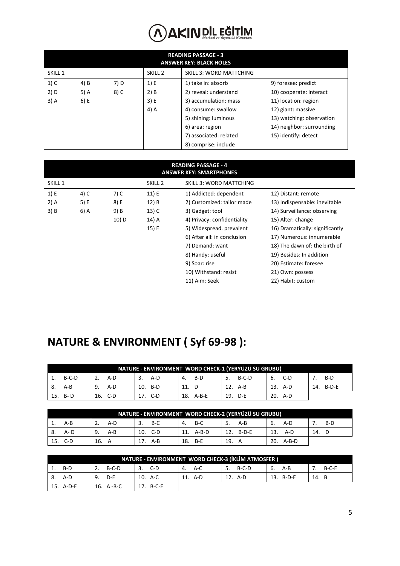|                    | <b>READING PASSAGE - 3</b><br><b>ANSWER KEY: BLACK HOLES</b> |      |        |                       |                           |  |  |  |  |
|--------------------|--------------------------------------------------------------|------|--------|-----------------------|---------------------------|--|--|--|--|
| SKILL <sub>1</sub> | <b>SKILL 3: WORD MATTCHING</b><br>SKILL <sub>2</sub>         |      |        |                       |                           |  |  |  |  |
| $1)$ C             | 4) B                                                         | 7) D | 1) E   | 1) take in: absorb    | 9) foresee: predict       |  |  |  |  |
| 2) D               | 5) A                                                         | 8) C | $2)$ B | 2) reveal: understand | 10) cooperate: interact   |  |  |  |  |
| $3)$ A             | 6) E                                                         |      | 3) E   | 3) accumulation: mass | 11) location: region      |  |  |  |  |
|                    |                                                              |      | 4) A   | 4) consume: swallow   | 12) giant: massive        |  |  |  |  |
|                    |                                                              |      |        | 5) shining: luminous  | 13) watching: observation |  |  |  |  |
|                    |                                                              |      |        | 6) area: region       | 14) neighbor: surrounding |  |  |  |  |
|                    | 7) associated: related<br>15) identify: detect               |      |        |                       |                           |  |  |  |  |
|                    |                                                              |      |        | 8) comprise: include  |                           |  |  |  |  |

|                    | <b>READING PASSAGE - 4</b><br><b>ANSWER KEY: SMARTPHONES</b> |       |                    |                                |                                 |  |  |  |  |  |
|--------------------|--------------------------------------------------------------|-------|--------------------|--------------------------------|---------------------------------|--|--|--|--|--|
| SKILL <sub>1</sub> |                                                              |       | SKILL <sub>2</sub> | <b>SKILL 3: WORD MATTCHING</b> |                                 |  |  |  |  |  |
| 1) E               | 4) C                                                         | 7) C  | 11) E              | 1) Addicted: dependent         | 12) Distant: remote             |  |  |  |  |  |
| $2)$ A             | 5) E                                                         | 8) E  | 12) B              | 2) Customized: tailor made     | 13) Indispensable: inevitable   |  |  |  |  |  |
| 3) B               | 6) A                                                         | 9) B  | $13)$ C            | 3) Gadget: tool                | 14) Surveillance: observing     |  |  |  |  |  |
|                    |                                                              | 10) D | 14) A              | 4) Privacy: confidentiality    | 15) Alter: change               |  |  |  |  |  |
|                    |                                                              |       | 15) E              | 5) Widespread. prevalent       | 16) Dramatically: significantly |  |  |  |  |  |
|                    |                                                              |       |                    | 6) After all: in conclusion    | 17) Numerous: innumerable       |  |  |  |  |  |
|                    |                                                              |       |                    | 7) Demand: want                | 18) The dawn of: the birth of   |  |  |  |  |  |
|                    |                                                              |       |                    | 8) Handy: useful               | 19) Besides: In addition        |  |  |  |  |  |
|                    |                                                              |       |                    | 9) Soar: rise                  | 20) Estimate: foresee           |  |  |  |  |  |
|                    |                                                              |       |                    | 10) Withstand: resist          | 21) Own: possess                |  |  |  |  |  |
|                    |                                                              |       |                    | 11) Aim: Seek                  | 22) Habit: custom               |  |  |  |  |  |
|                    |                                                              |       |                    |                                |                                 |  |  |  |  |  |
|                    |                                                              |       |                    |                                |                                 |  |  |  |  |  |

### **NATURE & ENVIRONMENT ( Syf 69-98 ):**

|    | NATURE - ENVIRONMENT WORD CHECK-1 (YERYÜZÜ SU GRUBU) |           |           |           |                |         |              |  |  |
|----|------------------------------------------------------|-----------|-----------|-----------|----------------|---------|--------------|--|--|
|    | B-C-D                                                | A-D       | A-D<br>3. | B-D<br>4. | $B-C-D$<br>-5. | 6. C-D  | $B-D$        |  |  |
| 8. | A-B                                                  | 9.<br>A-D | 10. B-D   | 11. D     | 12.<br>A-B     | 13. A-D | B-D-E<br>14. |  |  |
|    | 15. B-D                                              | 16. C-D   | - C-D     | 18. A-B-E | 19.<br>D-E     | 20. A-D |              |  |  |

|     | NATURE - ENVIRONMENT WORD CHECK-2 (YERYÜZÜ SU GRUBU) |             |             |            |              |              |     |  |  |
|-----|------------------------------------------------------|-------------|-------------|------------|--------------|--------------|-----|--|--|
|     | A-B                                                  | A-D         | $B-C$<br>3. | B-C<br>4.  | $A-B$<br>-5. | A-D<br>6.    | B-D |  |  |
| -8. | A- D                                                 | 9.<br>$A-B$ | C-D<br>10.  | 11. A-B-D  | B-D-E<br>12. | 13.<br>A-D   | 14. |  |  |
| 15. | C-D                                                  | 16. A       | A-B         | 18.<br>B-E | 19.          | 20.<br>A-B-D |     |  |  |

|    | NATURE - ENVIRONMENT WORD CHECK-3 (İKLİM ATMOSFER ) |                 |           |         |             |           |       |  |  |
|----|-----------------------------------------------------|-----------------|-----------|---------|-------------|-----------|-------|--|--|
|    | B-D                                                 | B-C-D           | C-D       | 4. A-C  | B-C-D<br>5. | 6. A-B    | B-C-E |  |  |
| 8. | A-D                                                 | 9.<br>D-E       | 10. A-C   | 11. A-D | 12. A-D     | 13. B-D-E | 14. B |  |  |
|    | 15. A-D-E                                           | 16. $A - B - C$ | 17. B-C-E |         |             |           |       |  |  |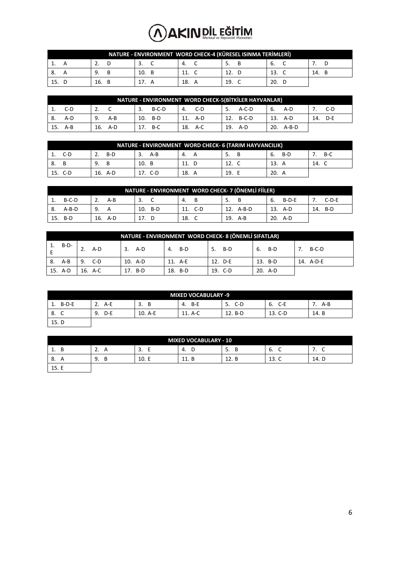| NATURE - ENVIRONMENT WORD CHECK-4 (KÜRESEL ISINMA TERİMLERİ) |     |     |     |     |     |     |  |  |  |
|--------------------------------------------------------------|-----|-----|-----|-----|-----|-----|--|--|--|
|                                                              |     |     |     |     | b.  |     |  |  |  |
| ō.                                                           |     | 10. | 11. |     | 13. | 14. |  |  |  |
|                                                              | 16. |     | 18. | 19. | 20. |     |  |  |  |

|      | NATURE - ENVIRONMENT WORD CHECK-5(BİTKİLER HAYVANLAR) |     |       |     |         |    |         |     |       |    |           |     |     |
|------|-------------------------------------------------------|-----|-------|-----|---------|----|---------|-----|-------|----|-----------|-----|-----|
|      | C-D                                                   |     |       | 3.  | B-C-D   | 4. | C-D     | 5.  | A-C-D | 6. | A-D       |     | C-D |
| - 8. | A-D                                                   | 9.  | $A-B$ | 10. | B-D     |    | 11. A-D | 12. | B-C-D |    | 13. A-D   | 14. | D-E |
|      | 15. A-B                                               | 16. | A-D   |     | 17. B-C |    | 18. A-C | 19. | A-D   |    | 20. A-B-D |     |     |

|    | NATURE - ENVIRONMENT WORD CHECK- 6 (TARIM HAYVANCILIK) |         |            |     |     |           |       |  |  |
|----|--------------------------------------------------------|---------|------------|-----|-----|-----------|-------|--|--|
| ᆠ. | C-D                                                    | B-D     | A-B        | 4.  | 5.  | B-D<br>b. | $B-C$ |  |  |
| 8. |                                                        | 9.      | 10.<br>- B | 11. | 12. | 13.       | 14.   |  |  |
|    | 15. C-D                                                | 16. A-D | C-D        | 18. | 19. | 20. A     |       |  |  |

|      | NATURE - ENVIRONMENT WORD CHECK- 7 (ÖNEMLI FIILER) |         |     |  |         |     |         |     |         |    |         |     |         |
|------|----------------------------------------------------|---------|-----|--|---------|-----|---------|-----|---------|----|---------|-----|---------|
|      | $B-C-D$                                            |         | A-B |  |         | 4.  | B       | 5.  |         | 6. | $B-D-E$ |     | $C-D-E$ |
| - 8. | $A-B-D$                                            | 9.      |     |  | 10. B-D |     | 11. C-D | 12. | A-B-D   |    | 13. A-D | 14. | B-D     |
|      | 15. B-D                                            | 16. A-D |     |  |         | 18. |         |     | 19. A-B |    | 20. A-D |     |         |

|        | NATURE - ENVIRONMENT WORD CHECK- 8 (ÖNEMLI SIFATLAR) |         |         |           |         |         |           |  |  |  |  |
|--------|------------------------------------------------------|---------|---------|-----------|---------|---------|-----------|--|--|--|--|
|        | $1. B-D-$                                            | $A-D$   | 3. A-D  | 4.<br>B-D | 5. B-D  | 6. B-D  | $B-C-D$   |  |  |  |  |
| 8. A-B |                                                      | 9. C-D  | 10. A-D | 11. A-E   | 12. D-E | 13. B-D | 14. A-D-E |  |  |  |  |
|        | 15. A-D                                              | 16. A-C | 17. B-D | 18. B-D   | 19. C-D | 20. A-D |           |  |  |  |  |

| <b>MIXED VOCABULARY -9</b> |           |         |             |           |             |         |  |  |  |
|----------------------------|-----------|---------|-------------|-----------|-------------|---------|--|--|--|
| $B-D-E$<br>1.              | $A-E$     | В<br>3. | - в-Е<br>4. | C-D<br>5. | $C-E$<br>6. | $A - B$ |  |  |  |
| 8.                         | D-E<br>9. | 10. A-E | 11. A-C     | 12. B-D   | 13. C-D     | 14. B   |  |  |  |
| 15. D                      |           |         |             |           |             |         |  |  |  |

| <b>MIXED VOCABULARY - 10</b> |                                 |       |              |         |                     |          |  |  |  |
|------------------------------|---------------------------------|-------|--------------|---------|---------------------|----------|--|--|--|
| <b>.</b>                     | ┑<br>$\overline{A}$<br><u>.</u> | . ت   | 4.<br>◡      | 5.<br>в | ∽<br>о.<br>╰        | . .<br>◡ |  |  |  |
| 8.                           | 9.<br>В                         | 10. E | 11 D<br>ᅭᅭᆞᄓ | 12. B   | 13. C<br>$\sqrt{ }$ | 14. D    |  |  |  |
| 15. E                        |                                 |       |              |         |                     |          |  |  |  |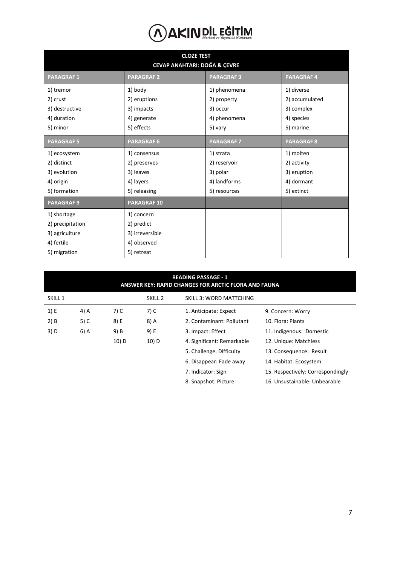|                   | <b>CLOZE TEST</b><br><b>CEVAP ANAHTARI: DOĞA &amp; ÇEVRE</b> |                   |                   |
|-------------------|--------------------------------------------------------------|-------------------|-------------------|
| <b>PARAGRAF1</b>  | <b>PARAGRAF 2</b>                                            | <b>PARAGRAF3</b>  | <b>PARAGRAF4</b>  |
| 1) tremor         | 1) body                                                      | 1) phenomena      | 1) diverse        |
| 2) crust          | 2) eruptions                                                 | 2) property       | 2) accumulated    |
| 3) destructive    | 3) impacts                                                   | 3) occur          | 3) complex        |
| 4) duration       | 4) generate                                                  | 4) phenomena      | 4) species        |
| 5) minor          | 5) effects                                                   | 5) vary           | 5) marine         |
| <b>PARAGRAF5</b>  | <b>PARAGRAF 6</b>                                            | <b>PARAGRAF 7</b> | <b>PARAGRAF 8</b> |
| 1) ecosystem      | 1) consensus                                                 | 1) strata         | 1) molten         |
| 2) distinct       | 2) preserves                                                 | 2) reservoir      | 2) activity       |
| 3) evolution      | 3) leaves                                                    | 3) polar          | 3) eruption       |
| 4) origin         | 4) layers                                                    | 4) landforms      | 4) dormant        |
| 5) formation      | 5) releasing                                                 | 5) resources      | 5) extinct        |
| <b>PARAGRAF 9</b> | <b>PARAGRAF10</b>                                            |                   |                   |
| 1) shortage       | 1) concern                                                   |                   |                   |
| 2) precipitation  | 2) predict                                                   |                   |                   |
| 3) agriculture    | 3) irreversible                                              |                   |                   |
| 4) fertile        | 4) observed                                                  |                   |                   |
| 5) migration      | 5) retreat                                                   |                   |                   |

|         | <b>READING PASSAGE - 1</b><br>ANSWER KEY: RAPID CHANGES FOR ARCTIC FLORA AND FAUNA |       |                    |                                |                                   |  |  |  |  |  |
|---------|------------------------------------------------------------------------------------|-------|--------------------|--------------------------------|-----------------------------------|--|--|--|--|--|
| SKILL 1 |                                                                                    |       | SKILL <sub>2</sub> | <b>SKILL 3: WORD MATTCHING</b> |                                   |  |  |  |  |  |
| 1) E    | 4) A                                                                               | 7) C  | 7) C               | 1. Anticipate: Expect          | 9. Concern: Worry                 |  |  |  |  |  |
| $2)$ B  | 5) C                                                                               | 8) E  | 8) A               | 2. Contaminant: Pollutant      | 10. Flora: Plants                 |  |  |  |  |  |
| 3) D    | 6) A                                                                               | 9) B  | 9) E               | 3. Impact: Effect              | 11. Indigenous: Domestic          |  |  |  |  |  |
|         |                                                                                    | 10) D | 10) D              | 4. Significant: Remarkable     | 12. Unique: Matchless             |  |  |  |  |  |
|         |                                                                                    |       |                    | 5. Challenge. Difficulty       | 13. Consequence: Result           |  |  |  |  |  |
|         |                                                                                    |       |                    | 6. Disappear: Fade away        | 14. Habitat: Ecosystem            |  |  |  |  |  |
|         |                                                                                    |       |                    | 7. Indicator: Sign             | 15. Respectively: Correspondingly |  |  |  |  |  |
|         |                                                                                    |       |                    | 8. Snapshot. Picture           | 16. Unsustainable: Unbearable     |  |  |  |  |  |
|         |                                                                                    |       |                    |                                |                                   |  |  |  |  |  |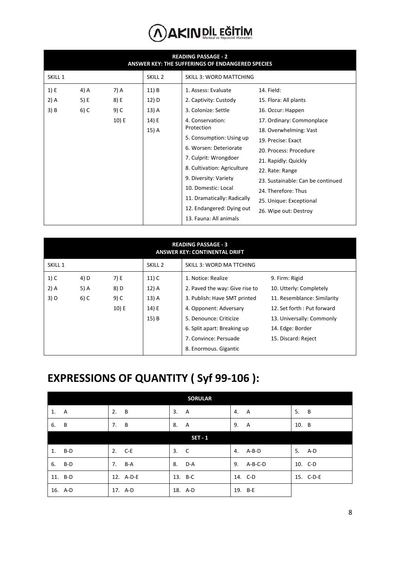|         |        |       |                    | <b>READING PASSAGE - 2</b><br>ANSWER KEY: THE SUFFERINGS OF ENDANGERED SPECIES |                                   |
|---------|--------|-------|--------------------|--------------------------------------------------------------------------------|-----------------------------------|
| SKILL 1 |        |       | SKILL <sub>2</sub> | <b>SKILL 3: WORD MATTCHING</b>                                                 |                                   |
| 1) E    | 4) A   | 7) A  | 11) B              | 1. Assess: Evaluate                                                            | 14. Field:                        |
| $2)$ A  | 5) E   | 8) E  | 12) D              | 2. Captivity: Custody                                                          | 15. Flora: All plants             |
| 3) B    | $6)$ C | 9) C  | 13) A              | 3. Colonize: Settle                                                            | 16. Occur: Happen                 |
|         |        | 10) E | 14) E              | 4. Conservation:                                                               | 17. Ordinary: Commonplace         |
|         |        |       | 15) A              | Protection                                                                     | 18. Overwhelming: Vast            |
|         |        |       |                    | 5. Consumption: Using up                                                       | 19. Precise: Exact                |
|         |        |       |                    | 6. Worsen: Deteriorate                                                         | 20. Process: Procedure            |
|         |        |       |                    | 7. Culprit: Wrongdoer                                                          | 21. Rapidly: Quickly              |
|         |        |       |                    | 8. Cultivation: Agriculture                                                    | 22. Rate: Range                   |
|         |        |       |                    | 9. Diversity: Variety                                                          | 23. Sustainable: Can be continued |
|         |        |       |                    | 10. Domestic: Local                                                            | 24. Therefore: Thus               |
|         |        |       |                    | 11. Dramatically: Radically                                                    | 25. Unique: Exceptional           |
|         |        |       |                    | 12. Endangered: Dying out                                                      | 26. Wipe out: Destroy             |
|         |        |       |                    | 13. Fauna: All animals                                                         |                                   |

|                    | <b>READING PASSAGE - 3</b><br><b>ANSWER KEY: CONTINENTAL DRIFT</b> |       |                    |                                 |                             |  |  |  |  |  |  |  |
|--------------------|--------------------------------------------------------------------|-------|--------------------|---------------------------------|-----------------------------|--|--|--|--|--|--|--|
| SKILL <sub>1</sub> |                                                                    |       | SKILL <sub>2</sub> | <b>SKILL 3: WORD MA TTCHING</b> |                             |  |  |  |  |  |  |  |
| $1)$ C             | 4) D                                                               | 7) E  | $11)$ C            | 1. Notice: Realize              | 9. Firm: Rigid              |  |  |  |  |  |  |  |
| 2) A               | 5) A                                                               | 8) D  | 12) A              | 2. Paved the way: Give rise to  | 10. Utterly: Completely     |  |  |  |  |  |  |  |
| 3) D               | 6) C                                                               | 9) C  | 13) A              | 3. Publish: Have SMT printed    | 11. Resemblance: Similarity |  |  |  |  |  |  |  |
|                    |                                                                    | 10) E | 14) E              | 4. Opponent: Adversary          | 12. Set forth: Put forward  |  |  |  |  |  |  |  |
|                    |                                                                    |       | 15) B              | 5. Denounce: Criticize          | 13. Universally: Commonly   |  |  |  |  |  |  |  |
|                    |                                                                    |       |                    | 6. Split apart: Breaking up     | 14. Edge: Border            |  |  |  |  |  |  |  |
|                    |                                                                    |       |                    | 7. Convince: Persuade           | 15. Discard: Reject         |  |  |  |  |  |  |  |
|                    |                                                                    |       |                    | 8. Enormous. Gigantic           |                             |  |  |  |  |  |  |  |

#### **EXPRESSIONS OF QUANTITY ( Syf 99-106 ):**

|         | <b>SORULAR</b> |                |               |                      |  |  |  |  |  |  |  |
|---------|----------------|----------------|---------------|----------------------|--|--|--|--|--|--|--|
| 1. A    | 2.<br>B        | 3.<br><b>A</b> | 4.<br>A       | 5.<br>$\overline{B}$ |  |  |  |  |  |  |  |
| 6. B    | B<br>7.        | 8. A           | 9.<br>A       | 10. B                |  |  |  |  |  |  |  |
|         |                | <b>SET - 1</b> |               |                      |  |  |  |  |  |  |  |
| 1. B-D  | 2. C-E         | 3. C           | 4.<br>A-B-D   | 5. A-D               |  |  |  |  |  |  |  |
| 6. B-D  | 7. B-A         | 8. D-A         | A-B-C-D<br>9. | 10. C-D              |  |  |  |  |  |  |  |
| 11. B-D | 12. A-D-E      | 13. B-C        | 14. C-D       | 15. C-D-E            |  |  |  |  |  |  |  |
| 16. A-D | 17. A-D        | 18. A-D        | 19. B-E       |                      |  |  |  |  |  |  |  |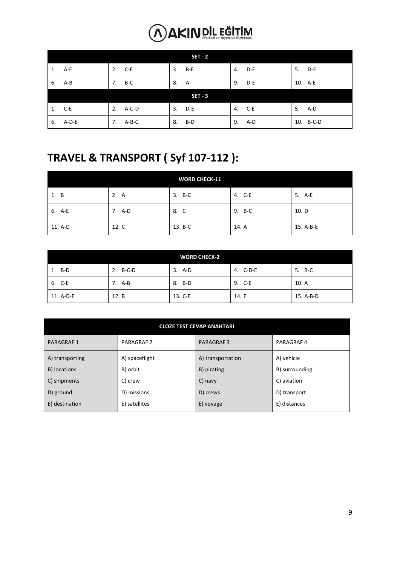| <b>SET - 2</b> |    |          |    |                |    |        |    |           |  |  |
|----------------|----|----------|----|----------------|----|--------|----|-----------|--|--|
| 1. A-E         |    | 2. C-E   |    | 3. B-E         |    | 4. D-E |    | 5. D-E    |  |  |
| 6. A-B         | 7. | B-C      | 8. | - A            | 9. | D-E    |    | 10. A-E   |  |  |
|                |    |          |    | <b>SET - 3</b> |    |        |    |           |  |  |
| 1. C-E         |    | 2. A-C-D |    | 3. D-E         |    | 4. C-E | 5. | A-D       |  |  |
| 6. A-D-E       | 7. | A-B-C    |    | 8. B-D         | 9. | A-D    |    | 10. B-C-D |  |  |

#### **TRAVEL & TRANSPORT ( Syf 107-112 ):**

| <b>WORD CHECK-11</b> |        |         |        |           |  |  |  |  |  |  |
|----------------------|--------|---------|--------|-----------|--|--|--|--|--|--|
| 1. B                 | 2. A   | 3. B-C  | 4. C-E | 5. A-E    |  |  |  |  |  |  |
| 6. A-E               | 7. A-D | 8. C    | 9. B-C | 10. D     |  |  |  |  |  |  |
| 11. A-D              | 12. C  | 13. B-C | 14. A  | 15. A-B-E |  |  |  |  |  |  |

| <b>WORD CHECK-2</b> |          |         |          |           |  |  |  |  |  |  |
|---------------------|----------|---------|----------|-----------|--|--|--|--|--|--|
| 1. B-D              | 2. B-C-D | 3. A-D  | 4. C-D-E | 5. B-C    |  |  |  |  |  |  |
| 6. C-E              | 7. A-B   | 8. B-D  | 9. C-E   | 10. A     |  |  |  |  |  |  |
| 11. A-D-E           | 12. B    | 13. C-E | 14. E    | 15. A-B-D |  |  |  |  |  |  |

|                  | <b>CLOZE TEST CEVAP ANAHTARI</b> |                   |                |  |  |  |  |  |  |  |  |
|------------------|----------------------------------|-------------------|----------------|--|--|--|--|--|--|--|--|
| <b>PARAGRAF1</b> | PARAGRAF 2                       | <b>PARAGRAF3</b>  | PARAGRAF 4     |  |  |  |  |  |  |  |  |
| A) transporting  | A) spaceflight                   | A) transportation | A) vehicle     |  |  |  |  |  |  |  |  |
| B) locations     | B) orbit                         | B) pirating       | B) surrounding |  |  |  |  |  |  |  |  |
| C) shipments     | C) crew                          | C) navy           | C) aviation    |  |  |  |  |  |  |  |  |
| D) ground        | D) missions                      | D) crews          | D) transport   |  |  |  |  |  |  |  |  |
| E) destination   | E) satellites                    | E) voyage         | E) distances   |  |  |  |  |  |  |  |  |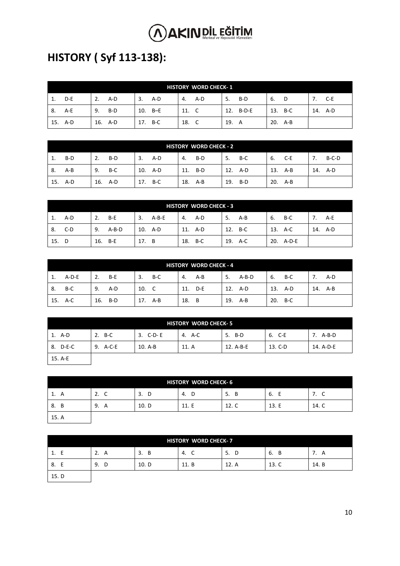### **HISTORY ( Syf 113-138):**

|     | <b>HISTORY WORD CHECK-1</b> |    |         |     |           |       |     |     |           |    |         |         |
|-----|-----------------------------|----|---------|-----|-----------|-------|-----|-----|-----------|----|---------|---------|
| 1.  | D-E                         | 2. | A-D     | 3.  | A-D       | 4.    | A-D | 5.  | B-D       | 6. | D.      | C-E     |
| -8. | A-E                         | 9. | B-D     |     | $10. B-E$ | 11. C |     |     | 12. B-D-E |    | 13. B-C | 14. A-D |
| 15. | A-D                         |    | 16. A-D | 17. | B-C       | 18.   |     | 19. | A         |    | 20. A-B |         |

|     | <b>HISTORY WORD CHECK - 2</b> |     |     |     |         |     |     |     |     |    |         |     |         |
|-----|-------------------------------|-----|-----|-----|---------|-----|-----|-----|-----|----|---------|-----|---------|
| 1.  | B-D                           | 2.  | B-D | 3.  | A-D     | 4.  | B-D | 5.  | B-C | 6. | C-E     | 7.  | $B-C-D$ |
| -8. | $A - B$                       | 9.  | B-C |     | 10. A-D | 11. | B-D | 12. | A-D |    | 13. A-B | 14. | A-D     |
| 15. | A-D                           | 16. | A-D | 17. | B-C     | 18. | A-B | 19. | B-D |    | 20. A-B |     |         |

|       | <b>HISTORY WORD CHECK - 3</b> |               |       |         |    |         |    |         |    |           |  |         |
|-------|-------------------------------|---------------|-------|---------|----|---------|----|---------|----|-----------|--|---------|
| 1.    | A-D                           | B-E<br>2.     | 3.    | $A-B-E$ | 4. | A-D     | 5. | $A-B$   | 6. | B-C       |  | A-E     |
| 8.    | C-D                           | $A-B-D$<br>9. |       | 10. A-D |    | 11. A-D |    | 12. B-C |    | 13. A-C   |  | 14. A-D |
| 15. D |                               | 16.<br>- B-E  | 17. B |         |    | 18. B-C |    | 19. A-C |    | 20. A-D-E |  |         |

|     | <b>HISTORY WORD CHECK - 4</b> |     |     |       |         |       |     |     |         |     |         |     |     |
|-----|-------------------------------|-----|-----|-------|---------|-------|-----|-----|---------|-----|---------|-----|-----|
| 1.  | A-D-E                         | 2.  | B-E | 3.    | B-C     | 4.    | A-B | 5.  | A-B-D   | 6.  | B-C     |     | A-D |
| 8.  | B-C                           | 9.  | A-D | 10. C |         | 11.   | D-E | 12. | A-D     |     | 13. A-D | 14. | A-B |
| 15. | A-C                           | 16. | B-D |       | 17. A-B | 18. B |     |     | 19. A-B | 20. | B-C     |     |     |

| <b>HISTORY WORD CHECK-5</b> |          |          |        |           |         |           |  |  |  |  |  |
|-----------------------------|----------|----------|--------|-----------|---------|-----------|--|--|--|--|--|
| 1. A-D                      | 2. B-C   | 3. C-D-E | 4. A-C | 5. B-D    | 6. C-E  | 7. A-B-D  |  |  |  |  |  |
| 8. D-E-C                    | 9. A-C-E | 10. A-B  | 11. A  | 12. A-B-E | 13. C-D | 14. A-D-E |  |  |  |  |  |
| 15. A-E                     |          |          |        |           |         |           |  |  |  |  |  |

| <b>HISTORY WORD CHECK-6</b>   |           |         |            |         |         |       |  |  |
|-------------------------------|-----------|---------|------------|---------|---------|-------|--|--|
| 1.<br>$\overline{\mathsf{A}}$ | 2.<br>- C | 3.<br>D | - D<br>-4. | 5.<br>в | 6.<br>Е | 7. C  |  |  |
| 8. B                          | 9.<br>A   | 10. D   | 11.E       | 12. C   | 13.E    | 14. C |  |  |
| 15. A                         |           |         |            |         |         |       |  |  |

| <b>HISTORY WORD CHECK-7</b> |         |         |       |         |         |         |  |  |
|-----------------------------|---------|---------|-------|---------|---------|---------|--|--|
| 1. E                        | 2.<br>A | B<br>3. | 4. C  | 5.<br>D | в<br>6. | 7.<br>A |  |  |
| E<br>8.                     | 9.<br>D | 10. D   | 11. B | 12. A   | 13. C   | 14. B   |  |  |
| 15. D                       |         |         |       |         |         |         |  |  |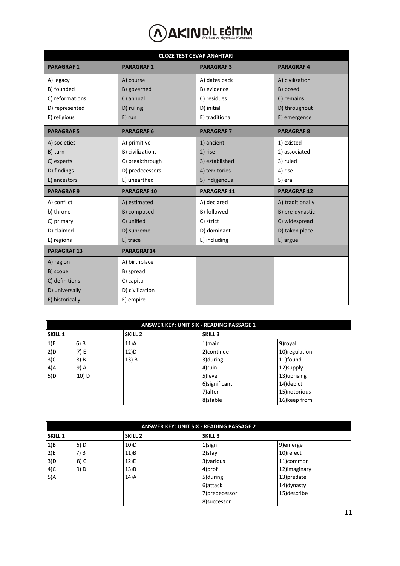|                   | <b>CLOZE TEST CEVAP ANAHTARI</b> |                   |                    |  |  |  |  |
|-------------------|----------------------------------|-------------------|--------------------|--|--|--|--|
| <b>PARAGRAF1</b>  | <b>PARAGRAF2</b>                 | <b>PARAGRAF3</b>  | <b>PARAGRAF4</b>   |  |  |  |  |
| A) legacy         | A) course                        | A) dates back     | A) civilization    |  |  |  |  |
| B) founded        | B) governed                      | B) evidence       | B) posed           |  |  |  |  |
| C) reformations   | C) annual                        | C) residues       | C) remains         |  |  |  |  |
| D) represented    | D) ruling                        | D) initial        | D) throughout      |  |  |  |  |
| E) religious      | $E)$ run                         | E) traditional    | E) emergence       |  |  |  |  |
| <b>PARAGRAF5</b>  | <b>PARAGRAF 6</b>                | <b>PARAGRAF 7</b> | <b>PARAGRAF 8</b>  |  |  |  |  |
| A) societies      | A) primitive                     | 1) ancient        | 1) existed         |  |  |  |  |
| B) turn           | B) civilizations                 | 2) rise           | 2) associated      |  |  |  |  |
| C) experts        | C) breakthrough                  | 3) established    | 3) ruled           |  |  |  |  |
| D) findings       | D) predecessors                  | 4) territories    | 4) rise            |  |  |  |  |
| E) ancestors      | E) unearthed                     | 5) indigenous     | 5) era             |  |  |  |  |
| <b>PARAGRAF 9</b> | <b>PARAGRAF10</b>                | <b>PARAGRAF11</b> | <b>PARAGRAF 12</b> |  |  |  |  |
| A) conflict       | A) estimated                     | A) declared       | A) traditionally   |  |  |  |  |
| b) throne         | B) composed                      | B) followed       | B) pre-dynastic    |  |  |  |  |
| C) primary        | C) unified                       | C) strict         | C) widespread      |  |  |  |  |
| D) claimed        | D) supreme                       | D) dominant       | D) taken place     |  |  |  |  |
| E) regions        | E) trace                         | E) including      | E) argue           |  |  |  |  |
| <b>PARAGRAF13</b> | PARAGRAF14                       |                   |                    |  |  |  |  |
| A) region         | A) birthplace                    |                   |                    |  |  |  |  |
| B) scope          | B) spread                        |                   |                    |  |  |  |  |
| C) definitions    | C) capital                       |                   |                    |  |  |  |  |
| D) universally    | D) civilization                  |                   |                    |  |  |  |  |
| E) historically   | E) empire                        |                   |                    |  |  |  |  |

|                | ANSWER KEY: UNIT SIX - READING PASSAGE 1 |                |                |                |  |  |  |  |
|----------------|------------------------------------------|----------------|----------------|----------------|--|--|--|--|
| <b>SKILL 1</b> |                                          | <b>SKILL 2</b> | <b>SKILL 3</b> |                |  |  |  |  |
| 1)E            | $6)$ B                                   | 11)A           | 1) main        | 9) royal       |  |  |  |  |
| 2)D            | 7) E                                     | 12)D           | 2) continue    | 10) regulation |  |  |  |  |
| 3)C            | 8) B                                     | 13) B          | 3) during      | 11)found       |  |  |  |  |
| 4)A            | 9) A                                     |                | 4)ruin         | 12)supply      |  |  |  |  |
| 5)D            | 10) D                                    |                | 5) level       | 13) uprising   |  |  |  |  |
|                |                                          |                | 6) significant | 14) depict     |  |  |  |  |
|                |                                          |                | 7) alter       | 15) notorious  |  |  |  |  |
|                |                                          |                | 8)stable       | 16) keep from  |  |  |  |  |

|                | <b>ANSWER KEY: UNIT SIX - READING PASSAGE 2</b> |                |                |               |  |  |  |  |
|----------------|-------------------------------------------------|----------------|----------------|---------------|--|--|--|--|
| <b>SKILL 1</b> |                                                 | <b>SKILL 2</b> | <b>SKILL 3</b> |               |  |  |  |  |
| 1)B            | $6)$ D                                          | 10)D           | 1)sign         | 9) emerge     |  |  |  |  |
| 2)E            | 7) B                                            | $11$ )B        | $2)$ stay      | 10) refect    |  |  |  |  |
| 3)D            | 8) C                                            | $12$ )E        | 3) various     | 11)common     |  |  |  |  |
| $4)$ C         | 9) D                                            | 13)B           | 4)prof         | 12) imaginary |  |  |  |  |
| 5)A            |                                                 | 14)A           | 5) during      | 13) predate   |  |  |  |  |
|                |                                                 |                | 6) attack      | 14) dynasty   |  |  |  |  |
|                |                                                 |                | 7) predecessor | 15) describe  |  |  |  |  |
|                |                                                 |                | 8) successor   |               |  |  |  |  |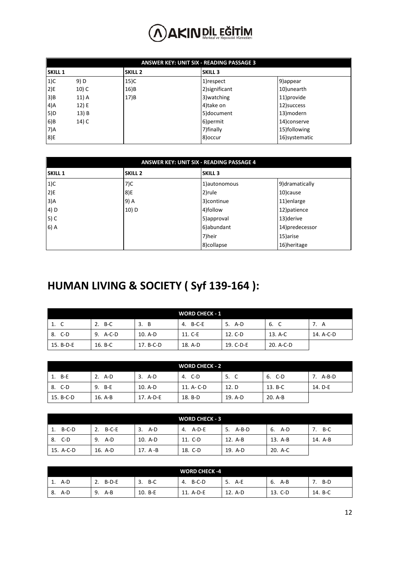|                | ANSWER KEY: UNIT SIX - READING PASSAGE 3 |                |                |                |  |  |  |  |
|----------------|------------------------------------------|----------------|----------------|----------------|--|--|--|--|
| <b>SKILL 1</b> |                                          | <b>SKILL 2</b> | <b>SKILL 3</b> |                |  |  |  |  |
| $1)$ C         | 9) D                                     | 15)C           | 1) respect     | 9) appear      |  |  |  |  |
| 2)E            | 10) C                                    | 16)B           | 2) significant | 10)unearth     |  |  |  |  |
| 3)B            | 11) A                                    | 17)B           | 3) watching    | 11) provide    |  |  |  |  |
| 4)A            | 12) E                                    |                | 4)take on      | 12) success    |  |  |  |  |
| 5)D            | 13) B                                    |                | 5)document     | 13) modern     |  |  |  |  |
| 6)B            | 14) C                                    |                | 6) permit      | 14)conserve    |  |  |  |  |
| 7)A            |                                          |                | 7) finally     | 15)following   |  |  |  |  |
| 8)E            |                                          |                | 8) occur       | 16) systematic |  |  |  |  |

| ANSWER KEY: UNIT SIX - READING PASSAGE 4 |                |                |                 |  |  |  |  |
|------------------------------------------|----------------|----------------|-----------------|--|--|--|--|
| <b>SKILL 1</b>                           | <b>SKILL 2</b> | <b>SKILL 3</b> |                 |  |  |  |  |
| $1)$ C                                   | 7)C            | 1) autonomous  | 9) dramatically |  |  |  |  |
| 2)E                                      | 8)E            | 2)rule         | 10) cause       |  |  |  |  |
| 3)A                                      | 9) A           | 3) continue    | 11) enlarge     |  |  |  |  |
| 4) D                                     | $10)$ D        | 4)follow       | 12) patience    |  |  |  |  |
| $5)$ C                                   |                | 5) approval    | 13) derive      |  |  |  |  |
| $6)$ A                                   |                | 6)abundant     | 14) predecessor |  |  |  |  |
|                                          |                | 7)heir         | 15) arise       |  |  |  |  |
|                                          |                | 8)collapse     | 16) heritage    |  |  |  |  |

#### **HUMAN LIVING & SOCIETY ( Syf 139-164 ):**

| <b>WORD CHECK - 1</b> |             |           |          |           |           |           |  |
|-----------------------|-------------|-----------|----------|-----------|-----------|-----------|--|
| 1. C                  | $B-C$<br>2. | 3. B      | 4. B-C-E | 5. A-D    | 6. C      | 7. A      |  |
| 8. C-D                | 9. A-C-D    | 10. A-D   | 11. C-E  | 12. C-D   | 13. A-C   | 14. A-C-D |  |
| 15. B-D-E             | 16. B-C     | 17. B-C-D | 18. A-D  | 19. C-D-E | 20. A-C-D |           |  |

| <b>WORD CHECK - 2</b> |         |           |            |         |         |          |  |  |
|-----------------------|---------|-----------|------------|---------|---------|----------|--|--|
| 1. B-E                | 2. A-D  | 3. A-D    | 4. C-D     | 5.      | 6. C-D  | 7. A-B-D |  |  |
| 8. C-D                | 9. B-E  | 10. A-D   | 11. A- C-D | 12. D   | 13. B-C | 14. D-E  |  |  |
| 15. B-C-D             | 16. A-B | 17. A-D-E | 18. B-D    | 19. A-D | 20. A-B |          |  |  |

| <b>WORD CHECK - 3</b> |               |           |          |               |         |         |  |  |
|-----------------------|---------------|-----------|----------|---------------|---------|---------|--|--|
| B-C-D                 | $B-C-E$<br>2. | A-D<br>3. | 4. A-D-E | $A-B-D$<br>5. | 6. A-D  | B-C     |  |  |
| 8. C-D                | 9.<br>A-D     | 10. A-D   | 11. C-D  | 12. A-B       | 13. A-B | 14. A-B |  |  |
| 15. A-C-D             | 16. A-D       | 17. A -B  | 18. C-D  | 19. A-D       | 20. A-C |         |  |  |

| <b>WORD CHECK -4</b> |               |             |             |           |            |         |  |
|----------------------|---------------|-------------|-------------|-----------|------------|---------|--|
| A-D<br>. .           | $B-D-E$<br>z. | $B-C$<br>3. | B-C-D<br>4. | 5.<br>A-E | A-B<br>-6. | B-D     |  |
| A-D<br>8.            | A-B<br>9.     | 10. B-E     | 11. A-D-E   | 12. A-D   | 13. C-D    | 14. B-C |  |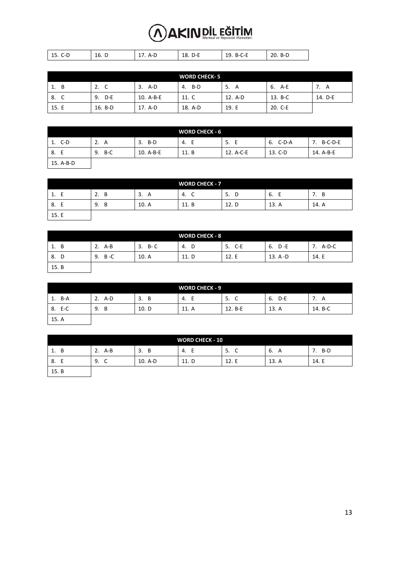| ັັ<br><b>. .</b> | 16. D | $\mathbf{u}$ | $\sim$<br>--<br>⊥∪.<br>້<br>- | 1 Q<br>ъ.<br>-- |  |
|------------------|-------|--------------|-------------------------------|-----------------|--|

| <b>WORD CHECK-5</b> |              |           |           |         |         |         |
|---------------------|--------------|-----------|-----------|---------|---------|---------|
| 1. B                | 2.<br>C<br>◡ | A-D<br>3. | B-D<br>4. | 5.<br>А | 6. A-E  | A       |
| 8. C                | D-E<br>9.    | 10. A-B-E | 11. C     | 12. A-D | 13. B-C | 14. D-E |
| 15. E               | 16. B-D      | 17. A-D   | 18. A-D   | 19. E   | 20. C-E |         |

|           |         |           | <b>WORD CHECK - 6</b> |           |          |                 |
|-----------|---------|-----------|-----------------------|-----------|----------|-----------------|
| 1. C-D    | 2.<br>A | B-D<br>3. | 4. E                  | 5.<br>E   | 6. C-D-A | $B-C-D-E$<br>7. |
| 8. E      | 9. B-C  | 10. A-B-E | 11. B                 | 12. A-C-E | 13. C-D  | 14. A-B-E       |
| 15. A-B-D |         |           |                       |           |          |                 |

| <b>WORD CHECK - 7</b> |         |         |         |         |         |         |
|-----------------------|---------|---------|---------|---------|---------|---------|
| ┕<br><b>.</b>         | B<br>2. | 3.<br>A | 4.<br>◡ | D<br>5. | 6.<br>┕ | в<br>,, |
| Е<br>8.               | 9.<br>B | 10. A   | 11. B   | 12. D   | 13. A   | 14. A   |
| 15. E                 |         |         |         |         |         |         |

| <b>WORD CHECK - 8</b> |               |          |       |           |             |          |
|-----------------------|---------------|----------|-------|-----------|-------------|----------|
| 1. B                  | A-B<br>2.     | $3. B-C$ | 4. D  | C-E<br>5. | 6. D-E      | 7. A-D-C |
| <sup>D</sup><br>8.    | - B - C<br>9. | 10. A    | 11. D | 12.E      | $13. A - D$ | 14. E    |
| 15. B                 |               |          |       |           |             |          |

| <b>WORD CHECK - 9</b> |           |         |          |         |           |         |
|-----------------------|-----------|---------|----------|---------|-----------|---------|
| B-A<br>1.             | 2.<br>A-D | 3.<br>В | E<br>-4. | 5.<br>C | D-E<br>6. | A<br>,, |
| 8. E-C                | 9.<br>В   | 10. D   | 11. A    | 12. B-E | 13. A     | 14. B-C |
| 15. A                 |           |         |          |         |           |         |

| <b>WORD CHECK - 10</b> |               |         |         |              |         |                       |
|------------------------|---------------|---------|---------|--------------|---------|-----------------------|
| - B<br>1.              | $A - B$<br>2. | B<br>3. | E<br>4. | 5.<br>╭<br>◡ | A<br>ь. | B-D<br>$\mathbf{I}$ . |
| 8.                     | 9.<br>⌒<br>ั  | 10. A-D | 11. D   | 12. E        | 13. A   | 14. E                 |
| 15. B                  |               |         |         |              |         |                       |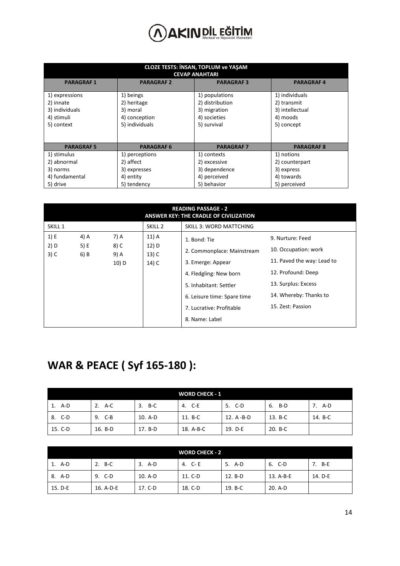| <b>CLOZE TESTS: INSAN, TOPLUM ve YAŞAM</b><br><b>CEVAP ANAHTARI</b> |                   |                   |                   |  |  |  |  |  |
|---------------------------------------------------------------------|-------------------|-------------------|-------------------|--|--|--|--|--|
| <b>PARAGRAF1</b>                                                    | <b>PARAGRAF 2</b> | <b>PARAGRAF3</b>  | <b>PARAGRAF4</b>  |  |  |  |  |  |
| 1) expressions                                                      | 1) beings         | 1) populations    | 1) individuals    |  |  |  |  |  |
| 2) innate                                                           | 2) heritage       | 2) distribution   | 2) transmit       |  |  |  |  |  |
| 3) individuals                                                      | 3) moral          | 3) migration      | 3) intellectual   |  |  |  |  |  |
| 4) stimuli                                                          | 4) conception     | 4) societies      | 4) moods          |  |  |  |  |  |
| 5) context                                                          | 5) individuals    | 5) survival       | 5) concept        |  |  |  |  |  |
|                                                                     |                   |                   |                   |  |  |  |  |  |
| <b>PARAGRAF5</b>                                                    | <b>PARAGRAF 6</b> | <b>PARAGRAF 7</b> | <b>PARAGRAF 8</b> |  |  |  |  |  |
| 1) stimulus                                                         | 1) perceptions    | 1) contexts       | 1) notions        |  |  |  |  |  |
| 2) abnormal                                                         | 2) affect         | 2) excessive      | 2) counterpart    |  |  |  |  |  |
| 3) norms                                                            | 3) expresses      | 3) dependence     | 3) express        |  |  |  |  |  |
| 4) fundamental                                                      | 4) entity         | 4) perceived      | 4) towards        |  |  |  |  |  |
| 5) drive                                                            | 5) tendency       | 5) behavior       | 5) perceived      |  |  |  |  |  |

|                                          | <b>READING PASSAGE - 2</b><br>ANSWER KEY: THE CRADLE OF CIVILIZATION |                               |                                    |                                                                                                                                                                                                  |                                                                                                                                                                    |  |  |
|------------------------------------------|----------------------------------------------------------------------|-------------------------------|------------------------------------|--------------------------------------------------------------------------------------------------------------------------------------------------------------------------------------------------|--------------------------------------------------------------------------------------------------------------------------------------------------------------------|--|--|
| SKILL <sub>1</sub><br>SKILL <sub>2</sub> |                                                                      |                               |                                    | <b>SKILL 3: WORD MATTCHING</b>                                                                                                                                                                   |                                                                                                                                                                    |  |  |
| 1) E<br>2) D<br>$3)$ C                   | 4) A<br>5) E<br>6) B                                                 | 7) A<br>8) C<br>9) A<br>10) D | 11) A<br>12) D<br>$13)$ C<br>14) C | 1. Bond: Tie<br>2. Commonplace: Mainstream<br>3. Emerge: Appear<br>4. Fledgling: New born<br>5. Inhabitant: Settler<br>6. Leisure time: Spare time<br>7. Lucrative: Profitable<br>8. Name: Label | 9. Nurture: Feed<br>10. Occupation: work<br>11. Paved the way: Lead to<br>12. Profound: Deep<br>13. Surplus: Excess<br>14. Whereby: Thanks to<br>15. Zest: Passion |  |  |

#### **WAR & PEACE ( Syf 165-180 ):**

|         |           |         | <b>WORD CHECK - 1</b> |            |         |         |
|---------|-----------|---------|-----------------------|------------|---------|---------|
| 1. A-D  | A-C<br>2. | 3. B-C  | 4. C-E                | 5. C-D     | 6. B-D  | 7. A-D  |
| 8. C-D  | 9. C-B    | 10. A-D | 11. B-C               | 12. A -B-D | 13. B-C | 14. B-C |
| 15. C-D | 16. B-D   | 17. B-D | 18. A-B-C             | 19. D-E    | 20. B-C |         |

| <b>WORD CHECK - 2</b> |           |         |         |         |           |         |
|-----------------------|-----------|---------|---------|---------|-----------|---------|
| 1. A-D                | B-C<br>2. | 3. A-D  | 4. C-E  | 5. A-D  | 6. C-D    | 7. B-E  |
| 8. A-D                | 9. C-D    | 10. A-D | 11. C-D | 12. B-D | 13. A-B-E | 14. D-E |
| 15. D-E               | 16. A-D-E | 17. C-D | 18. C-D | 19. B-C | 20. A-D   |         |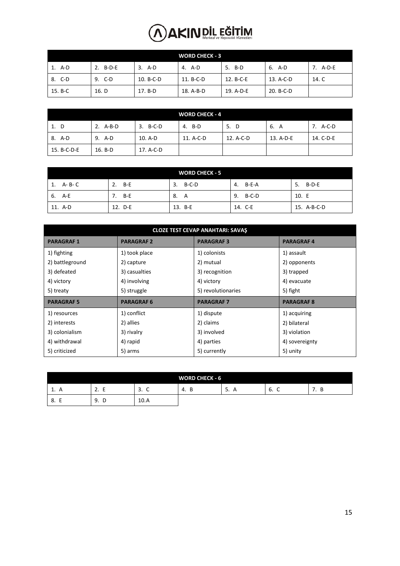| <b>WORD CHECK - 3</b> |          |           |           |           |           |          |
|-----------------------|----------|-----------|-----------|-----------|-----------|----------|
| 1. A-D                | 2. B-D-E | A-D<br>3. | 4. A-D    | 5. B-D    | 6. A-D    | 7. A-D-E |
| 8. C-D                | 9. C-D   | 10. B-C-D | 11. B-C-D | 12. B-C-E | 13. A-C-D | 14. C    |
| 15. B-C               | 16. D    | 17. B-D   | 18. A-B-D | 19. A-D-E | 20. B-C-D |          |

| <b>WORD CHECK - 4</b> |           |               |           |           |           |           |  |
|-----------------------|-----------|---------------|-----------|-----------|-----------|-----------|--|
| 1. D                  | 2. A-B-D  | $B-C-D$<br>3. | 4. B-D    | D<br>5.   | 6. A      | 7. A-C-D  |  |
| 8. A-D                | 9. A-D    | 10. A-D       | 11. A-C-D | 12. A-C-D | 13. A-D-E | 14. C-D-E |  |
| 15. B-C-D-E           | $16. B-D$ | 17. A-C-D     |           |           |           |           |  |

|               |             | <b>WORD CHECK - 5</b> |             |             |
|---------------|-------------|-----------------------|-------------|-------------|
| A- B- C<br>1. | $B-E$<br>2. | B-C-D<br>3.           | B-E-A<br>4. | 5. B-D-E    |
| 6. A-E        | B-E         | 8. A                  | B-C-D<br>9. | 10. E       |
| 11. A-D       | 12. D-E     | 13. B-E               | 14. C-E     | 15. A-B-C-D |

| <b>CLOZE TEST CEVAP ANAHTARI: SAVAŞ</b> |                   |                    |                   |  |  |  |  |
|-----------------------------------------|-------------------|--------------------|-------------------|--|--|--|--|
| <b>PARAGRAF1</b>                        | <b>PARAGRAF 2</b> | <b>PARAGRAF3</b>   | <b>PARAGRAF4</b>  |  |  |  |  |
| 1) fighting                             | 1) took place     | 1) colonists       | 1) assault        |  |  |  |  |
| 2) battleground                         | 2) capture        | 2) mutual          | 2) opponents      |  |  |  |  |
| 3) defeated                             | 3) casualties     | 3) recognition     | 3) trapped        |  |  |  |  |
| 4) victory                              | 4) involving      | 4) victory         | 4) evacuate       |  |  |  |  |
| 5) treaty                               | 5) struggle       | 5) revolutionaries | 5) fight          |  |  |  |  |
| <b>PARAGRAF5</b>                        | <b>PARAGRAF 6</b> | <b>PARAGRAF7</b>   | <b>PARAGRAF 8</b> |  |  |  |  |
| 1) resources                            | 1) conflict       | 1) dispute         | 1) acquiring      |  |  |  |  |
| 2) interests                            | 2) allies         | 2) claims          | 2) bilateral      |  |  |  |  |
| 3) colonialism                          | 3) rivalry        | 3) involved        | 3) violation      |  |  |  |  |
| 4) withdrawal                           | 4) rapid          | 4) parties         | 4) sovereignty    |  |  |  |  |
| 5) criticized                           | 5) arms           | 5) currently       | 5) unity          |  |  |  |  |

|              |                                      |                                           | <b>WORD CHECK - 6</b> |       |                            |          |
|--------------|--------------------------------------|-------------------------------------------|-----------------------|-------|----------------------------|----------|
| T. H         | $\mathbf{\hat{}}$<br><u>. .</u><br>- | $\overline{\phantom{0}}$<br>ີ<br>. ب<br>ັ | B<br>-4.              | . . A | $\epsilon$<br>∽<br>ь.<br>◡ | . .<br>ັ |
| -<br>8.<br>- | 9.<br>D                              | 10.A                                      |                       |       |                            |          |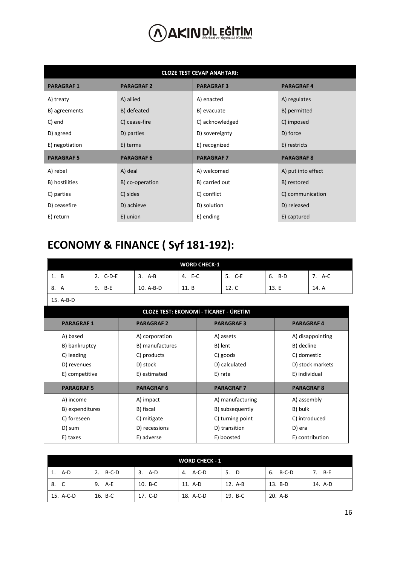| <b>CLOZE TEST CEVAP ANAHTARI:</b> |                   |                  |                    |  |  |  |  |
|-----------------------------------|-------------------|------------------|--------------------|--|--|--|--|
| <b>PARAGRAF1</b>                  | <b>PARAGRAF 2</b> | <b>PARAGRAF3</b> | <b>PARAGRAF4</b>   |  |  |  |  |
| A) treaty                         | A) allied         | A) enacted       | A) regulates       |  |  |  |  |
| B) agreements                     | B) defeated       | B) evacuate      | B) permitted       |  |  |  |  |
| C) end                            | C) cease-fire     | C) acknowledged  | C) imposed         |  |  |  |  |
| D) agreed                         | D) parties        | D) sovereignty   | D) force           |  |  |  |  |
| E) negotiation                    | E) terms          | E) recognized    | E) restricts       |  |  |  |  |
| <b>PARAGRAF5</b>                  | <b>PARAGRAF6</b>  | <b>PARAGRAF7</b> | <b>PARAGRAF8</b>   |  |  |  |  |
| A) rebel                          | A) deal           | A) welcomed      | A) put into effect |  |  |  |  |
| B) hostilities                    | B) co-operation   | B) carried out   | B) restored        |  |  |  |  |
| C) parties                        | C) sides          | C) conflict      | C) communication   |  |  |  |  |
| D) ceasefire                      | D) achieve        | D) solution      | D) released        |  |  |  |  |
| E) return                         | E) union          | E) ending        | E) captured        |  |  |  |  |

#### **ECONOMY & FINANCE ( Syf 181-192):**

|           |          |           | <b>WORD CHECK-1</b> |        |           |        |
|-----------|----------|-----------|---------------------|--------|-----------|--------|
| 1. B      | 2. C-D-E | 3.<br>A-B | 4. E-C              | 5. C-E | B-D<br>6. | 7. A-C |
| 8. A      | 9. B-E   | 10. A-B-D | 11. B               | 12. C  | 13. E     | 14. A  |
| 15. A-B-D |          |           |                     |        |           |        |

|                  |                   | <b>CLOZE TEST: EKONOMİ - TİCARET - ÜRETİM</b> |                   |
|------------------|-------------------|-----------------------------------------------|-------------------|
| <b>PARAGRAF1</b> | <b>PARAGRAF2</b>  | <b>PARAGRAF3</b>                              | <b>PARAGRAF4</b>  |
| A) based         | A) corporation    | A) assets                                     | A) disappointing  |
| B) bankruptcy    | B) manufactures   | B) lent                                       | B) decline        |
| C) leading       | C) products       | C) goods                                      | C) domestic       |
| D) revenues      | D) stock          | D) calculated                                 | D) stock markets  |
| E) competitive   | E) estimated      | E) rate                                       | E) individual     |
| <b>PARAGRAF5</b> | <b>PARAGRAF 6</b> | <b>PARAGRAF 7</b>                             | <b>PARAGRAF 8</b> |
| A) income        | A) impact         | A) manufacturing                              | A) assembly       |
| B) expenditures  | B) fiscal         | B) subsequently                               | B) bulk           |
| C) foreseen      | C) mitigate       | C) turning point                              | C) introduced     |
| D) sum           | D) recessions     | D) transition                                 | D) era            |
| E) taxes         | E) adverse        | E) boosted                                    | E) contribution   |

| <b>WORD CHECK - 1</b> |             |         |           |           |             |         |
|-----------------------|-------------|---------|-----------|-----------|-------------|---------|
| A-D                   | B-C-D<br>2. | 3. A-D  | 4. A-C-D  | 5.<br>- D | B-C-D<br>6. | 7. B-E  |
| 8. C                  | 9.<br>A-E   | 10. B-C | 11. A-D   | 12. A-B   | 13. B-D     | 14. A-D |
| 15. A-C-D             | 16. B-C     | 17. C-D | 18. A-C-D | 19. B-C   | 20. A-B     |         |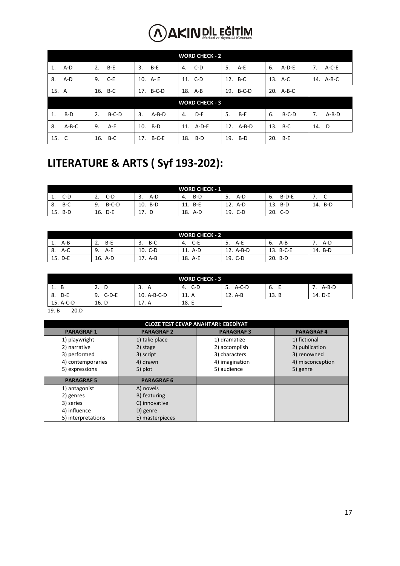|       | <b>WORD CHECK - 2</b> |    |         |     |           |     |                       |     |           |    |           |       |           |
|-------|-----------------------|----|---------|-----|-----------|-----|-----------------------|-----|-----------|----|-----------|-------|-----------|
|       | 1. A-D                | 2. | B-E     | 3.  | B-E       | 4.  | C-D                   | 5.  | $A-E$     | 6. | A-D-E     | 7.    | $A-C-E$   |
|       | 8. A-D                | 9. | $C-E$   |     | 10. A-E   |     | 11. C-D               |     | 12. B-C   |    | 13. A-C   |       | 14. A-B-C |
| 15. A |                       |    | 16. B-C |     | 17. B-C-D |     | 18. A-B               |     | 19. B-C-D |    | 20. A-B-C |       |           |
|       |                       |    |         |     |           |     | <b>WORD CHECK - 3</b> |     |           |    |           |       |           |
| 1.    | B-D                   | 2. | $B-C-D$ | 3.  | $A-B-D$   | 4.  | D-E                   | 5.  | B-E       | 6. | B-C-D     | 7.    | $A-B-D$   |
| 8.    | A-B-C                 | 9. | $A-E$   |     | 10. B-D   |     | 11. A-D-E             |     | 12. A-B-D |    | 13. B-C   | 14. D |           |
| 15. C |                       |    | 16. B-C | 17. | B-C-E     | 18. | B-D                   | 19. | B-D       |    | 20. B-E   |       |           |

#### **LITERATURE & ARTS ( Syf 193-202):**

| <b>WORD CHECK - 1</b> |            |     |         |            |              |       |
|-----------------------|------------|-----|---------|------------|--------------|-------|
| $C-D$                 | C-D        | A-D | B-D     | A-D        | $B-D-E$      | ◡     |
| <b>.</b>              | z.         | د.  | 4.      | 5.         | ь.           | . .   |
| B-C                   | $B-C-D$    | 10. | -B-E    | 12.        | 13.          | . B-D |
| -8.                   | 9.         | B-D | 11.     | A-D        | B-D          | 14.   |
| 15.<br>B-D            | 16.<br>D-E | 17. | 18. A-D | 19.<br>C-D | 20.<br>$C-D$ |       |

|             |           |           | <b>WORD CHECK - 2</b> |                |              |         |
|-------------|-----------|-----------|-----------------------|----------------|--------------|---------|
| A-B<br>-1.  | B-E<br>z. | B-C<br>э. | C-E<br>4.             | A-E<br>5.      | A-B<br>ь.    | A-D     |
| l 8.<br>A-C | A-E<br>9. | 10. C-D   | 11. A-D               | 12.<br>$A-B-D$ | 13.<br>B-C-E | 14. B-D |
| 15. D-E     | 16. A-D   | A-B       | 18. A-E               | 19. C-D        | 20.<br>B-D   |         |

|             |               |             | <b>WORD CHECK - 3</b> |               |       |         |
|-------------|---------------|-------------|-----------------------|---------------|-------|---------|
| в<br>1.     | z.<br>ш       | А<br>э.     | C-D<br>-4.            | $A-C-D$<br>.כ | b.    | $A-B-D$ |
| D-E<br>- 8. | $C-D-E$<br>9. | 10. A-B-C-D | 11. A                 | 12. A-B       | 13. B | 14. D-E |
| 15. A-C-D   | 16. D         | 17. A       | 18. E                 |               |       |         |

19. B 20.D

| <b>CLOZE TEST CEVAP ANAHTARI: EBEDİYAT</b> |                   |                  |                  |  |  |  |  |  |
|--------------------------------------------|-------------------|------------------|------------------|--|--|--|--|--|
| <b>PARAGRAF1</b>                           | <b>PARAGRAF 2</b> | <b>PARAGRAF3</b> | <b>PARAGRAF4</b> |  |  |  |  |  |
| 1) playwright                              | 1) take place     | 1) dramatize     | 1) fictional     |  |  |  |  |  |
| 2) narrative                               | 2) stage          | 2) accomplish    | 2) publication   |  |  |  |  |  |
| 3) performed                               | 3) script         | 3) characters    | 3) renowned      |  |  |  |  |  |
| 4) contemporaries                          | 4) drawn          | 4) imagination   | 4) misconception |  |  |  |  |  |
| 5) expressions                             | 5) plot           | 5) audience      | 5) genre         |  |  |  |  |  |
| <b>PARAGRAF5</b>                           | <b>PARAGRAF 6</b> |                  |                  |  |  |  |  |  |
| 1) antagonist                              | A) novels         |                  |                  |  |  |  |  |  |
| 2) genres                                  | B) featuring      |                  |                  |  |  |  |  |  |
| 3) series                                  | C) innovative     |                  |                  |  |  |  |  |  |
| 4) influence                               | D) genre          |                  |                  |  |  |  |  |  |
| 5) interpretations                         | E) masterpieces   |                  |                  |  |  |  |  |  |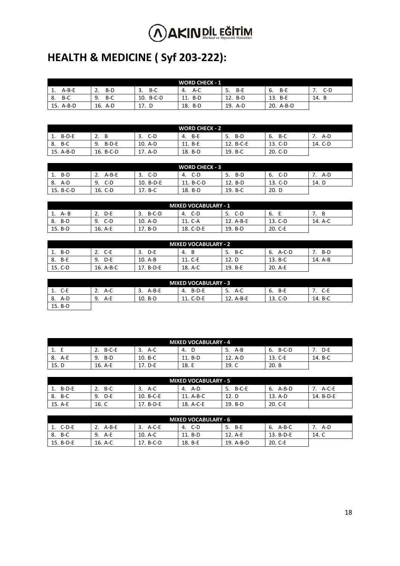### **HEALTH & MEDICINE ( Syf 203-222):**

| <b>WORD CHECK - 1</b> |            |              |            |            |                |          |
|-----------------------|------------|--------------|------------|------------|----------------|----------|
| $A-B-E$<br><b>.</b>   | B-D        | B-C<br>3.    | A-C<br>-4. | B-E<br>5.  | B-E<br>6.      | $C-D$    |
| B-C<br>8.             | B-C<br>9.  | B-C-D<br>10. | B-D<br>11. | 12.<br>B-D | 13.<br>B-E     | 14.<br>D |
| 15. A-B-D             | 16.<br>A-D | 17.<br>- D   | B-D<br>18. | 19.<br>A-D | 20.<br>$A-B-D$ |          |

| <b>WORD CHECK - 2</b> |               |           |           |                |            |         |
|-----------------------|---------------|-----------|-----------|----------------|------------|---------|
| $B-D-E$               | B<br>z.       | C-D<br>3. | B-E<br>4. | B-D<br>-5.     | B-C<br>-6. | A-D     |
| B-C<br>- 8.           | $B-D-E$<br>9. | 10. A-D   | 11. B-E   | . B-C-E<br>12. | 13. C-D    | 14. C-D |
| 15. A-B-D             | 16. B-C-D     | A-D       | 18. B-D   | 19. B-C        | $20. C-D$  |         |

|                 |             |            | <b>WORD CHECK - 3</b> |           |             |       |
|-----------------|-------------|------------|-----------------------|-----------|-------------|-------|
| B-D<br><b>.</b> | A-B-E<br>ـ. | C-D<br>э.  | C-D<br>-4.            | B-D<br>5. | $C-D$<br>ь. | A-D   |
| A-D<br>8.       | C-D<br>9.   | 10. B-D-E  | 11. B-C-D             | 12. B-D   | 13. C-D     | 14. D |
| 15. B-C-D       | 16. C-D     | 17.<br>B-C | 18. B-D               | 19. B-C   | 20. D       |       |

| <b>MIXED VOCABULARY - 1</b> |           |               |           |           |         |         |  |
|-----------------------------|-----------|---------------|-----------|-----------|---------|---------|--|
| A- B<br>ı.                  | D-E<br>z. | $B-C-D$<br>3. | C-D       | C-D<br>5. | - 6.    | B       |  |
| $B-D$<br>8.                 | 9.<br>C-D | 10. A-D       | 11. C-A   | 12. A-B-E | 13. C-D | 14. A-C |  |
| 15. B-D                     | 16. A-E   | B-D<br>17.    | 18. C-D-E | 19. B-D   | 20. C-E |         |  |

| <b>MIXED VOCABULARY - 2</b> |           |             |         |           |               |         |  |
|-----------------------------|-----------|-------------|---------|-----------|---------------|---------|--|
| B-D<br>٠.                   | C-E<br>z. | D-E<br>. ب  | B<br>4. | B-C<br>5. | $A-C-D$<br>ь. | B-D     |  |
| B-E<br>8.                   | D-E<br>9. | 10. A-B     | 11. C-E | 12. D     | 13. B-C       | 14. A-B |  |
| 15. C-D                     | 16. A-B-C | 17<br>B-D-E | 18. A-C | 19. B-E   | 20. A-E       |         |  |

|                 |           |           | <b>MIXED VOCABULARY - 3</b> |           |           |         |
|-----------------|-----------|-----------|-----------------------------|-----------|-----------|---------|
| C-E<br><b>.</b> | $A-C$     | $A-B-E$   | B-D-E<br>-4.                | A-C<br>5. | B-E<br>6. | $C-E$   |
| A-D<br>8.       | A-E<br>9. | $10. B-D$ | 11. C-D-E                   | 12. A-B-E | 13. C-D   | 14. B-C |
| 15. B-D         |           |           |                             |           |           |         |

|           | <b>MIXED VOCABULARY - 4</b> |             |           |              |               |         |  |  |  |
|-----------|-----------------------------|-------------|-----------|--------------|---------------|---------|--|--|--|
| <b>.</b>  | $B-C-E$                     | $A-C$<br>э. | -4.       | -5.<br>$A-B$ | $B-C-D$<br>ь. | $D - E$ |  |  |  |
| A-E<br>8. | B-D<br>9.                   | $10. B-C$   | $11. B-D$ | 12. A-D      | 13. C-E       | 14. B-C |  |  |  |
| 15. D     | 16. A-E                     | 17. D-E     | 18. E     | 19. C        | 20. B         |         |  |  |  |

| <b>MIXED VOCABULARY - 5</b> |           |           |           |               |             |           |  |
|-----------------------------|-----------|-----------|-----------|---------------|-------------|-----------|--|
| $B-D-E$<br>ᆠ.               | B-C<br>z. | A-C<br>3. | A-D<br>4. | $B-C-E$<br>5. | A-B-D<br>b. | $A-C-E$   |  |
| -B-C<br>8.                  | D-E<br>9. | 10. B-C-E | 11. A-B-C | 12. D         | 13. A-D     | 14. B-D-E |  |
| 15. A-E                     | 16. C     | 17. B-D-E | 18. A-C-E | 19. B-D       | 20. C-E     |           |  |

| <b>MIXED VOCABULARY - 6</b> |           |           |         |            |              |       |  |
|-----------------------------|-----------|-----------|---------|------------|--------------|-------|--|
| $C-D-E$                     | $A-B-E$   | $A-C-E$   | C-D     | B-E<br>-5. | A-B-C<br>-6. | A-D   |  |
| B-C<br>8.                   | 9.<br>A-E | 10. A-C   | 11. B-D | 12. A-E    | 13. B-D-E    | 14. C |  |
| 15. B-D-E                   | 16. A-C   | 17. B-C-D | 18. B-E | 19. A-B-D  | 20. C-E      |       |  |